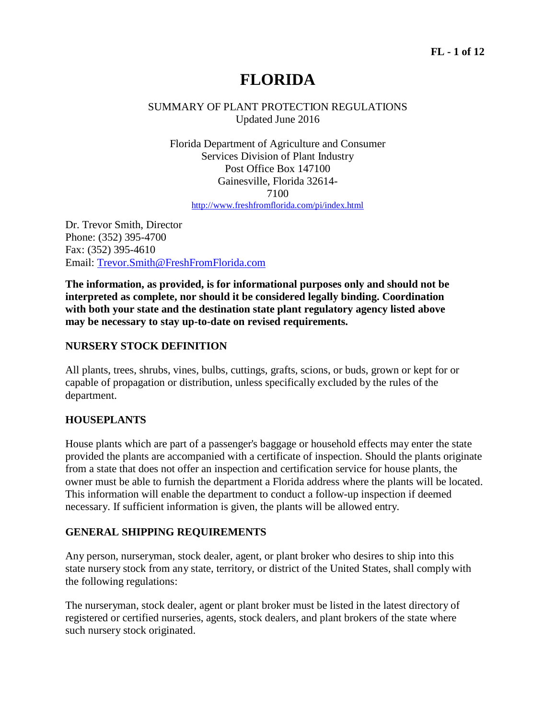# **FLORIDA**

## SUMMARY OF PLANT PROTECTION REGULATIONS Updated June 2016

Florida Department of Agriculture and Consumer Services Division of Plant Industry Post Office Box 147100 Gainesville, Florida 32614- 7100 http://www.freshfromflorida.com/pi/index.html

Dr. Trevor Smith, Director Phone: (352) 395-4700 Fax: (352) 395-4610 Email: Trevor.Smith@FreshFromFlorida.com

**The information, as provided, is for informational purposes only and should not be interpreted as complete, nor should it be considered legally binding. Coordination with both your state and the destination state plant regulatory agency listed above may be necessary to stay up-to-date on revised requirements.**

## **NURSERY STOCK DEFINITION**

All plants, trees, shrubs, vines, bulbs, cuttings, grafts, scions, or buds, grown or kept for or capable of propagation or distribution, unless specifically excluded by the rules of the department.

## **HOUSEPLANTS**

House plants which are part of a passenger's baggage or household effects may enter the state provided the plants are accompanied with a certificate of inspection. Should the plants originate from a state that does not offer an inspection and certification service for house plants, the owner must be able to furnish the department a Florida address where the plants will be located. This information will enable the department to conduct a follow-up inspection if deemed necessary. If sufficient information is given, the plants will be allowed entry.

## **GENERAL SHIPPING REQUIREMENTS**

Any person, nurseryman, stock dealer, agent, or plant broker who desires to ship into this state nursery stock from any state, territory, or district of the United States, shall comply with the following regulations:

The nurseryman, stock dealer, agent or plant broker must be listed in the latest directory of registered or certified nurseries, agents, stock dealers, and plant brokers of the state where such nursery stock originated.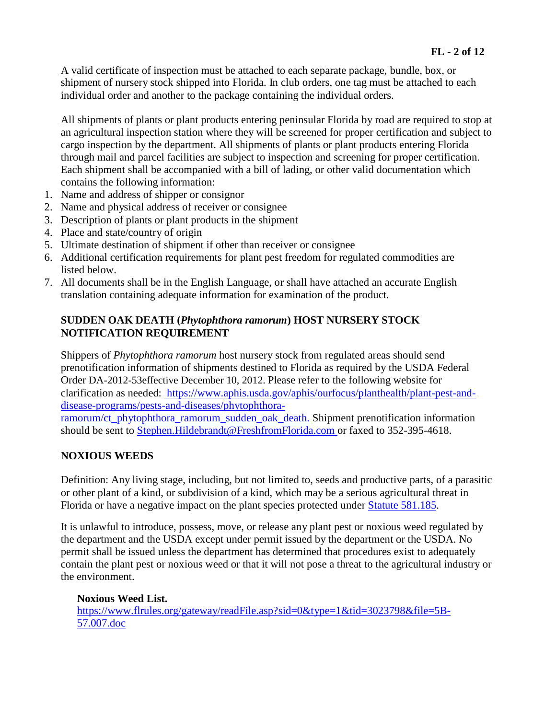A valid certificate of inspection must be attached to each separate package, bundle, box, or shipment of nursery stock shipped into Florida. In club orders, one tag must be attached to each individual order and another to the package containing the individual orders.

All shipments of plants or plant products entering peninsular Florida by road are required to stop at an agricultural inspection station where they will be screened for proper certification and subject to cargo inspection by the department. All shipments of plants or plant products entering Florida through mail and parcel facilities are subject to inspection and screening for proper certification. Each shipment shall be accompanied with a bill of lading, or other valid documentation which contains the following information:

- 1. Name and address of shipper or consignor
- 2. Name and physical address of receiver or consignee
- 3. Description of plants or plant products in the shipment
- 4. Place and state/country of origin
- 5. Ultimate destination of shipment if other than receiver or consignee
- 6. Additional certification requirements for plant pest freedom for regulated commodities are listed below.
- 7. All documents shall be in the English Language, or shall have attached an accurate English translation containing adequate information for examination of the product.

## **SUDDEN OAK DEATH (***Phytophthora ramorum***) HOST NURSERY STOCK NOTIFICATION REQUIREMENT**

Shippers of *Phytophthora ramorum* host nursery stock from regulated areas should send prenotification information of shipments destined to Florida as required by the USDA Federal Order DA-2012-53effective December 10, 2012. Please refer to the following website for clarification as needed: https://www.aphis.usda.gov/aphis/ourfocus/planthealth/plant-pest-anddisease-programs/pests-and-diseases/phytophthora-

ramorum/ct\_phytophthora\_ramorum\_sudden\_oak\_death. Shipment prenotification information should be sent to Stephen.Hildebrandt@FreshfromFlorida.com or faxed to 352-395-4618.

## **NOXIOUS WEEDS**

Definition: Any living stage, including, but not limited to, seeds and productive parts, of a parasitic or other plant of a kind, or subdivision of a kind, which may be a serious agricultural threat in Florida or have a negative impact on the plant species protected under Statute 581.185.

It is unlawful to introduce, possess, move, or release any plant pest or noxious weed regulated by the department and the USDA except under permit issued by the department or the USDA. No permit shall be issued unless the department has determined that procedures exist to adequately contain the plant pest or noxious weed or that it will not pose a threat to the agricultural industry or the environment.

**Noxious Weed List.** https://www.flrules.org/gateway/readFile.asp?sid=0&type=1&tid=3023798&file=5B-57.007.doc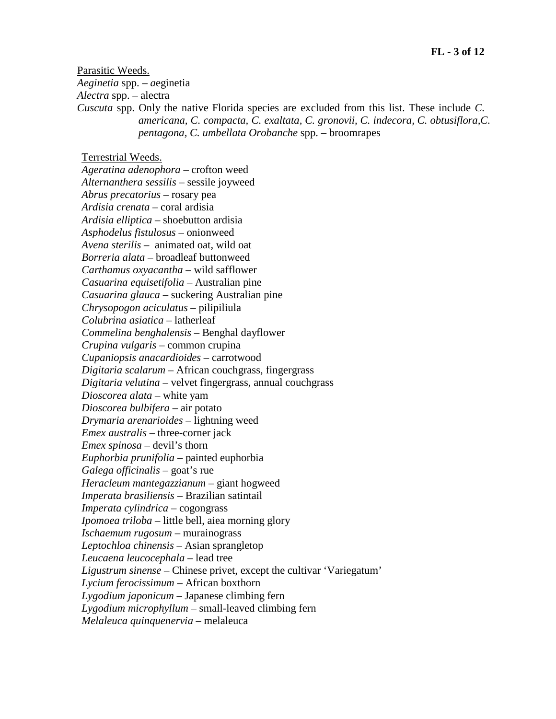Parasitic Weeds.

*Aeginetia* spp. *– a*eginetia

*Alectra* spp. *–* alectra

*Cuscuta* spp. Only the native Florida species are excluded from this list. These include *C. americana, C. compacta, C. exaltata, C. gronovii, C. indecora, C. obtusiflora,C. pentagona, C. umbellata Orobanche* spp. *–* broomrapes

#### Terrestrial Weeds.

*Ageratina adenophora –* crofton weed *Alternanthera sessilis –* sessile joyweed *Abrus precatorius –* rosary pea *Ardisia crenata* – coral ardisia *Ardisia elliptica –* shoebutton ardisia *Asphodelus fistulosus –* onionweed *Avena sterilis –* animated oat, wild oat *Borreria alata –* broadleaf buttonweed *Carthamus oxyacantha –* wild safflower *Casuarina equisetifolia –* Australian pine *Casuarina glauca –* suckering Australian pine *Chrysopogon aciculatus –* pilipiliula *Colubrina asiatica –* latherleaf *Commelina benghalensis –* Benghal dayflower *Crupina vulgaris –* common crupina *Cupaniopsis anacardioides –* carrotwood *Digitaria scalarum –* African couchgrass, fingergrass *Digitaria velutina –* velvet fingergrass, annual couchgrass *Dioscorea alata –* white yam *Dioscorea bulbifera –* air potato *Drymaria arenarioides –* lightning weed *Emex australis –* three-corner jack *Emex spinosa –* devil's thorn *Euphorbia prunifolia –* painted euphorbia *Galega officinalis –* goat's rue *Heracleum mantegazzianum –* giant hogweed *Imperata brasiliensis –* Brazilian satintail *Imperata cylindrica –* cogongrass *Ipomoea triloba –* little bell, aiea morning glory *Ischaemum rugosum –* murainograss *Leptochloa chinensis –* Asian sprangletop *Leucaena leucocephala –* lead tree *Ligustrum sinense –* Chinese privet, except the cultivar 'Variegatum' *Lycium ferocissimum –* African boxthorn *Lygodium japonicum –* Japanese climbing fern *Lygodium microphyllum –* small-leaved climbing fern

*Melaleuca quinquenervia –* melaleuca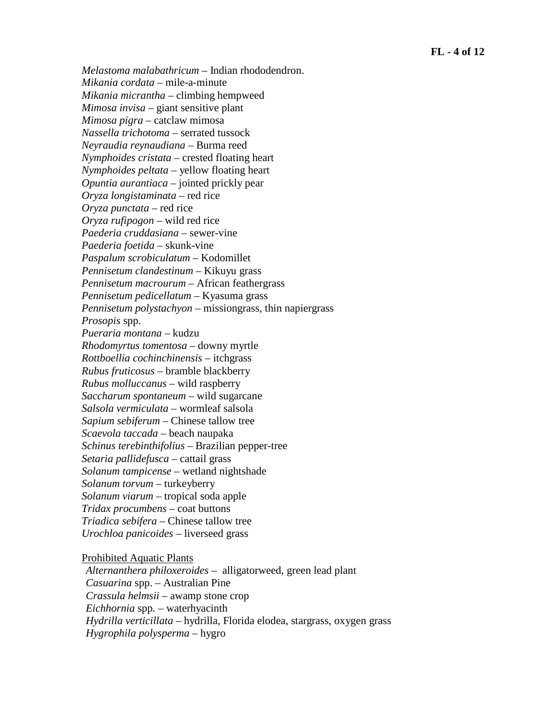*Melastoma malabathricum –* Indian rhododendron. *Mikania cordata –* mile-a-minute *Mikania micrantha –* climbing hempweed *Mimosa invisa –* giant sensitive plant *Mimosa pigra –* catclaw mimosa *Nassella trichotoma –* serrated tussock *Neyraudia reynaudiana –* Burma reed *Nymphoides cristata –* crested floating heart *Nymphoides peltata –* yellow floating heart *Opuntia aurantiaca –* jointed prickly pear *Oryza longistaminata –* red rice *Oryza punctata –* red rice *Oryza rufipogon –* wild red rice *Paederia cruddasiana –* sewer-vine *Paederia foetida –* skunk-vine *Paspalum scrobiculatum –* Kodomillet *Pennisetum clandestinum –* Kikuyu grass *Pennisetum macrourum –* African feathergrass *Pennisetum pedicellatum –* Kyasuma grass *Pennisetum polystachyon –* missiongrass, thin napiergrass *Prosopis* spp. *Pueraria montana –* kudzu *Rhodomyrtus tomentosa –* downy myrtle *Rottboellia cochinchinensis –* itchgrass *Rubus fruticosus –* bramble blackberry *Rubus molluccanus –* wild raspberry *Saccharum spontaneum –* wild sugarcane *Salsola vermiculata –* wormleaf salsola *Sapium sebiferum –* Chinese tallow tree *Scaevola taccada –* beach naupaka *Schinus terebinthifolius –* Brazilian pepper-tree *Setaria pallidefusca –* cattail grass *Solanum tampicense –* wetland nightshade *Solanum torvum –* turkeyberry *Solanum viarum –* tropical soda apple *Tridax procumbens –* coat buttons *Triadica sebifera –* Chinese tallow tree *Urochloa panicoides –* liverseed grass

Prohibited Aquatic Plants

*Alternanthera philoxeroides –* alligatorweed, green lead plant *Casuarina* spp. *–* Australian Pine *Crassula helmsii –* awamp stone crop *Eichhornia* spp*. –* waterhyacinth *Hydrilla verticillata –* hydrilla, Florida elodea, stargrass, oxygen grass *Hygrophila polysperma –* hygro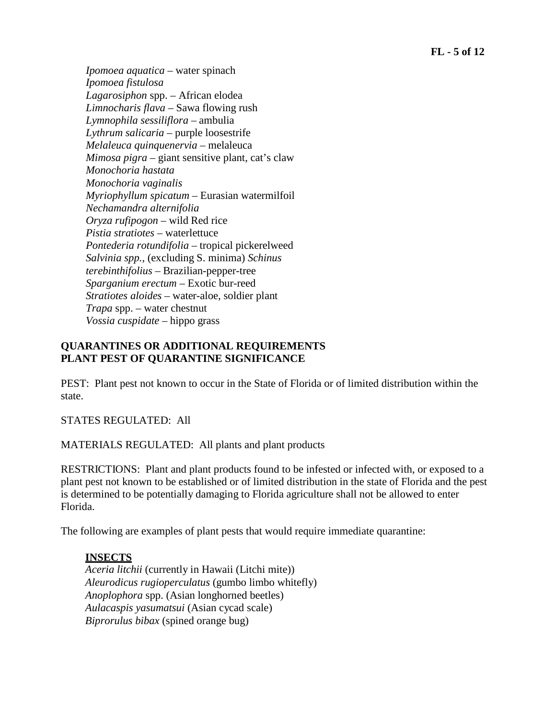*Ipomoea aquatica –* water spinach *Ipomoea fistulosa Lagarosiphon* spp. *–* African elodea *Limnocharis flava –* Sawa flowing rush *Lymnophila sessiliflora* – ambulia *Lythrum salicaria –* purple loosestrife *Melaleuca quinquenervia –* melaleuca *Mimosa pigra –* giant sensitive plant, cat's claw *Monochoria hastata Monochoria vaginalis Myriophyllum spicatum –* Eurasian watermilfoil *Nechamandra alternifolia Oryza rufipogon –* wild Red rice *Pistia stratiotes* – waterlettuce *Pontederia rotundifolia –* tropical pickerelweed *Salvinia spp.,* (excluding S. minima) *Schinus terebinthifolius –* Brazilian-pepper-tree *Sparganium erectum –* Exotic bur-reed *Stratiotes aloides –* water-aloe, soldier plant *Trapa* spp. *–* water chestnut *Vossia cuspidate* – hippo grass

#### **QUARANTINES OR ADDITIONAL REQUIREMENTS PLANT PEST OF QUARANTINE SIGNIFICANCE**

PEST: Plant pest not known to occur in the State of Florida or of limited distribution within the state.

STATES REGULATED: All

MATERIALS REGULATED: All plants and plant products

RESTRICTIONS: Plant and plant products found to be infested or infected with, or exposed to a plant pest not known to be established or of limited distribution in the state of Florida and the pest is determined to be potentially damaging to Florida agriculture shall not be allowed to enter Florida.

The following are examples of plant pests that would require immediate quarantine:

## **INSECTS**

*Aceria litchii* (currently in Hawaii (Litchi mite)) *Aleurodicus rugioperculatus* (gumbo limbo whitefly) *Anoplophora* spp. (Asian longhorned beetles) *Aulacaspis yasumatsui* (Asian cycad scale) *Biprorulus bibax* (spined orange bug)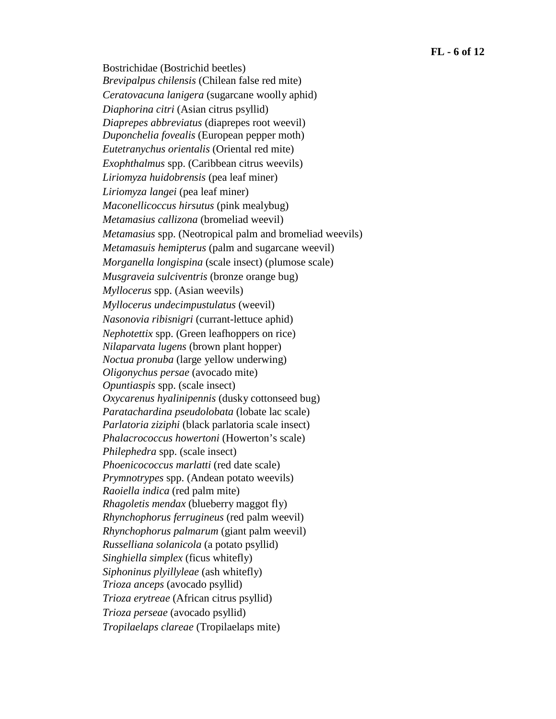Bostrichidae (Bostrichid beetles) *Brevipalpus chilensis* (Chilean false red mite) *Ceratovacuna lanigera* (sugarcane woolly aphid) *Diaphorina citri* (Asian citrus psyllid) *Diaprepes abbreviatus* (diaprepes root weevil) *Duponchelia fovealis* (European pepper moth) *Eutetranychus orientalis* (Oriental red mite) *Exophthalmus* spp. (Caribbean citrus weevils) *Liriomyza huidobrensis* (pea leaf miner) *Liriomyza langei* (pea leaf miner) *Maconellicoccus hirsutus* (pink mealybug) *Metamasius callizona* (bromeliad weevil) *Metamasius* spp. (Neotropical palm and bromeliad weevils) *Metamasuis hemipterus* (palm and sugarcane weevil) *Morganella longispina* (scale insect) (plumose scale) *Musgraveia sulciventris* (bronze orange bug) *Myllocerus* spp. (Asian weevils) *Myllocerus undecimpustulatus* (weevil) *Nasonovia ribisnigri* (currant-lettuce aphid) *Nephotettix* spp. (Green leafhoppers on rice) *Nilaparvata lugens* (brown plant hopper) *Noctua pronuba* (large yellow underwing) *Oligonychus persae* (avocado mite) *Opuntiaspis* spp. (scale insect) *Oxycarenus hyalinipennis* (dusky cottonseed bug) *Paratachardina pseudolobata* (lobate lac scale) *Parlatoria ziziphi* (black parlatoria scale insect) *Phalacrococcus howertoni* (Howerton's scale) *Philephedra* spp. (scale insect) *Phoenicococcus marlatti* (red date scale) *Prymnotrypes* spp. (Andean potato weevils) *Raoiella indica* (red palm mite) *Rhagoletis mendax* (blueberry maggot fly) *Rhynchophorus ferrugineus* (red palm weevil) *Rhynchophorus palmarum* (giant palm weevil) *Russelliana solanicola* (a potato psyllid) *Singhiella simplex* (ficus whitefly) *Siphoninus plyillyleae* (ash whitefly) *Trioza anceps* (avocado psyllid) *Trioza erytreae* (African citrus psyllid) *Trioza perseae* (avocado psyllid) *Tropilaelaps clareae* (Tropilaelaps mite)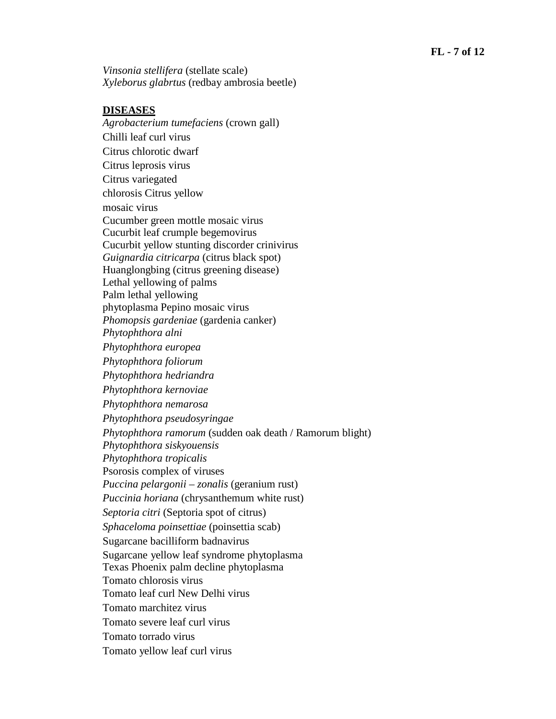*Vinsonia stellifera* (stellate scale) *Xyleborus glabrtus* (redbay ambrosia beetle)

#### **DISEASES**

*Agrobacterium tumefaciens* (crown gall) Chilli leaf curl virus Citrus chlorotic dwarf Citrus leprosis virus Citrus variegated chlorosis Citrus yellow mosaic virus Cucumber green mottle mosaic virus Cucurbit leaf crumple begemovirus Cucurbit yellow stunting discorder crinivirus *Guignardia citricarpa* (citrus black spot) Huanglongbing (citrus greening disease) Lethal yellowing of palms Palm lethal yellowing phytoplasma Pepino mosaic virus *Phomopsis gardeniae* (gardenia canker) *Phytophthora alni Phytophthora europea Phytophthora foliorum Phytophthora hedriandra Phytophthora kernoviae Phytophthora nemarosa Phytophthora pseudosyringae Phytophthora ramorum* (sudden oak death / Ramorum blight) *Phytophthora siskyouensis Phytophthora tropicalis*  Psorosis complex of viruses *Puccina pelargonii – zonalis* (geranium rust) *Puccinia horiana* (chrysanthemum white rust) *Septoria citri* (Septoria spot of citrus) *Sphaceloma poinsettiae* (poinsettia scab) Sugarcane bacilliform badnavirus Sugarcane yellow leaf syndrome phytoplasma Texas Phoenix palm decline phytoplasma Tomato chlorosis virus Tomato leaf curl New Delhi virus Tomato marchitez virus Tomato severe leaf curl virus Tomato torrado virus Tomato yellow leaf curl virus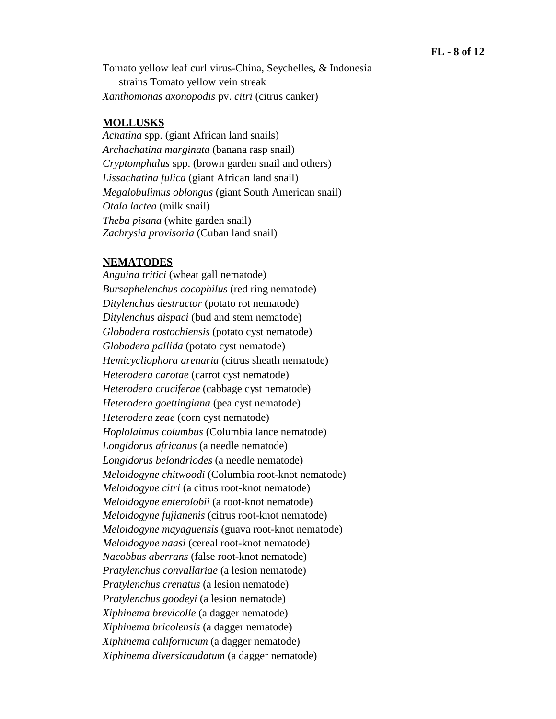Tomato yellow leaf curl virus-China, Seychelles, & Indonesia strains Tomato yellow vein streak *Xanthomonas axonopodis* pv. *citri* (citrus canker)

#### **MOLLUSKS**

*Achatina* spp. (giant African land snails) *Archachatina marginata* (banana rasp snail) *Cryptomphalus* spp. (brown garden snail and others) *Lissachatina fulica* (giant African land snail) *Megalobulimus oblongus* (giant South American snail) *Otala lactea* (milk snail) *Theba pisana* (white garden snail) *Zachrysia provisoria* (Cuban land snail)

#### **NEMATODES**

*Anguina tritici* (wheat gall nematode) *Bursaphelenchus cocophilus* (red ring nematode) *Ditylenchus destructor* (potato rot nematode) *Ditylenchus dispaci* (bud and stem nematode) *Globodera rostochiensis* (potato cyst nematode) *Globodera pallida* (potato cyst nematode) *Hemicycliophora arenaria* (citrus sheath nematode) *Heterodera carotae* (carrot cyst nematode) *Heterodera cruciferae* (cabbage cyst nematode) *Heterodera goettingiana* (pea cyst nematode) *Heterodera zeae* (corn cyst nematode) *Hoplolaimus columbus* (Columbia lance nematode) *Longidorus africanus* (a needle nematode) *Longidorus belondriodes* (a needle nematode) *Meloidogyne chitwoodi* (Columbia root-knot nematode) *Meloidogyne citri* (a citrus root-knot nematode) *Meloidogyne enterolobii* (a root-knot nematode) *Meloidogyne fujianenis* (citrus root-knot nematode) *Meloidogyne mayaguensis* (guava root-knot nematode) *Meloidogyne naasi* (cereal root-knot nematode) *Nacobbus aberrans* (false root-knot nematode) *Pratylenchus convallariae* (a lesion nematode) *Pratylenchus crenatus* (a lesion nematode) *Pratylenchus goodeyi* (a lesion nematode) *Xiphinema brevicolle* (a dagger nematode) *Xiphinema bricolensis* (a dagger nematode) *Xiphinema californicum* (a dagger nematode) *Xiphinema diversicaudatum* (a dagger nematode)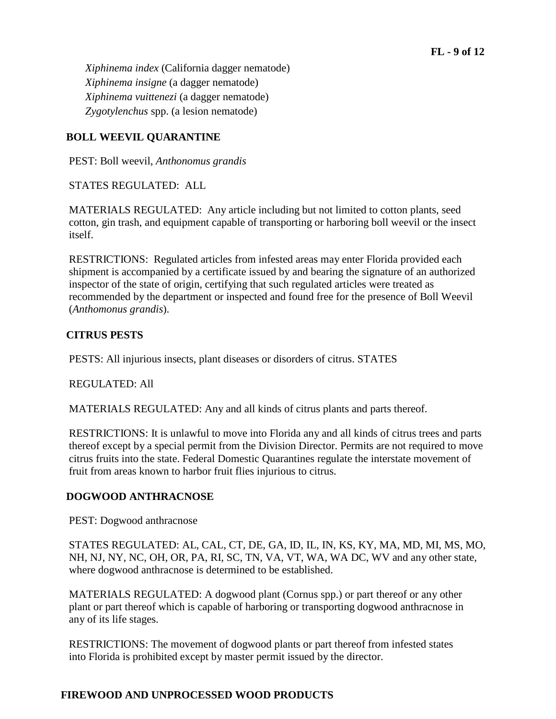*Xiphinema index* (California dagger nematode) *Xiphinema insigne* (a dagger nematode) *Xiphinema vuittenezi* (a dagger nematode) *Zygotylenchus* spp. (a lesion nematode)

# **BOLL WEEVIL QUARANTINE**

PEST: Boll weevil, *Anthonomus grandis*

STATES REGULATED: ALL

MATERIALS REGULATED: Any article including but not limited to cotton plants, seed cotton, gin trash, and equipment capable of transporting or harboring boll weevil or the insect itself.

RESTRICTIONS: Regulated articles from infested areas may enter Florida provided each shipment is accompanied by a certificate issued by and bearing the signature of an authorized inspector of the state of origin, certifying that such regulated articles were treated as recommended by the department or inspected and found free for the presence of Boll Weevil (*Anthomonus grandis*).

## **CITRUS PESTS**

PESTS: All injurious insects, plant diseases or disorders of citrus. STATES

REGULATED: All

MATERIALS REGULATED: Any and all kinds of citrus plants and parts thereof.

RESTRICTIONS: It is unlawful to move into Florida any and all kinds of citrus trees and parts thereof except by a special permit from the Division Director. Permits are not required to move citrus fruits into the state. Federal Domestic Quarantines regulate the interstate movement of fruit from areas known to harbor fruit flies injurious to citrus.

## **DOGWOOD ANTHRACNOSE**

PEST: Dogwood anthracnose

STATES REGULATED: AL, CAL, CT, DE, GA, ID, IL, IN, KS, KY, MA, MD, MI, MS, MO, NH, NJ, NY, NC, OH, OR, PA, RI, SC, TN, VA, VT, WA, WA DC, WV and any other state, where dogwood anthracnose is determined to be established.

MATERIALS REGULATED: A dogwood plant (Cornus spp.) or part thereof or any other plant or part thereof which is capable of harboring or transporting dogwood anthracnose in any of its life stages.

RESTRICTIONS: The movement of dogwood plants or part thereof from infested states into Florida is prohibited except by master permit issued by the director.

## **FIREWOOD AND UNPROCESSED WOOD PRODUCTS**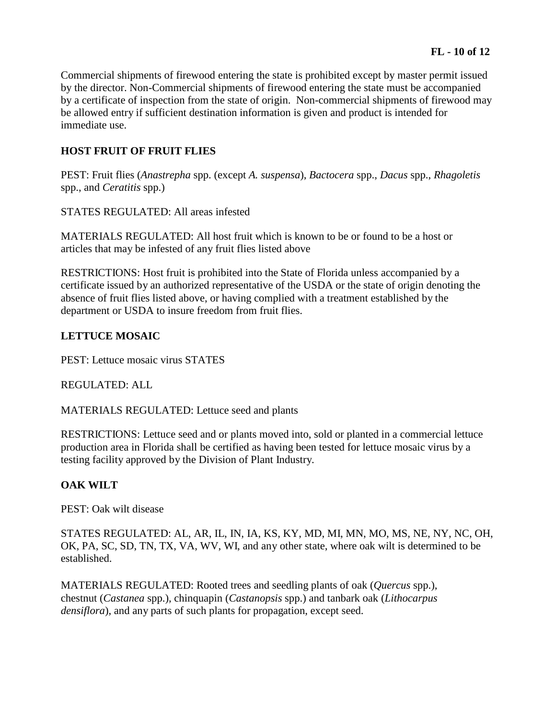Commercial shipments of firewood entering the state is prohibited except by master permit issued by the director. Non-Commercial shipments of firewood entering the state must be accompanied by a certificate of inspection from the state of origin. Non-commercial shipments of firewood may be allowed entry if sufficient destination information is given and product is intended for immediate use.

## **HOST FRUIT OF FRUIT FLIES**

PEST: Fruit flies (*Anastrepha* spp. (except *A. suspensa*), *Bactocera* spp., *Dacus* spp., *Rhagoletis*  spp., and *Ceratitis* spp.)

STATES REGULATED: All areas infested

MATERIALS REGULATED: All host fruit which is known to be or found to be a host or articles that may be infested of any fruit flies listed above

RESTRICTIONS: Host fruit is prohibited into the State of Florida unless accompanied by a certificate issued by an authorized representative of the USDA or the state of origin denoting the absence of fruit flies listed above, or having complied with a treatment established by the department or USDA to insure freedom from fruit flies.

## **LETTUCE MOSAIC**

PEST: Lettuce mosaic virus STATES

REGULATED: ALL

MATERIALS REGULATED: Lettuce seed and plants

RESTRICTIONS: Lettuce seed and or plants moved into, sold or planted in a commercial lettuce production area in Florida shall be certified as having been tested for lettuce mosaic virus by a testing facility approved by the Division of Plant Industry.

## **OAK WILT**

PEST: Oak wilt disease

STATES REGULATED: AL, AR, IL, IN, IA, KS, KY, MD, MI, MN, MO, MS, NE, NY, NC, OH, OK, PA, SC, SD, TN, TX, VA, WV, WI, and any other state, where oak wilt is determined to be established.

MATERIALS REGULATED: Rooted trees and seedling plants of oak (*Quercus* spp.), chestnut (*Castanea* spp.), chinquapin (*Castanopsis* spp.) and tanbark oak (*Lithocarpus densiflora*), and any parts of such plants for propagation, except seed.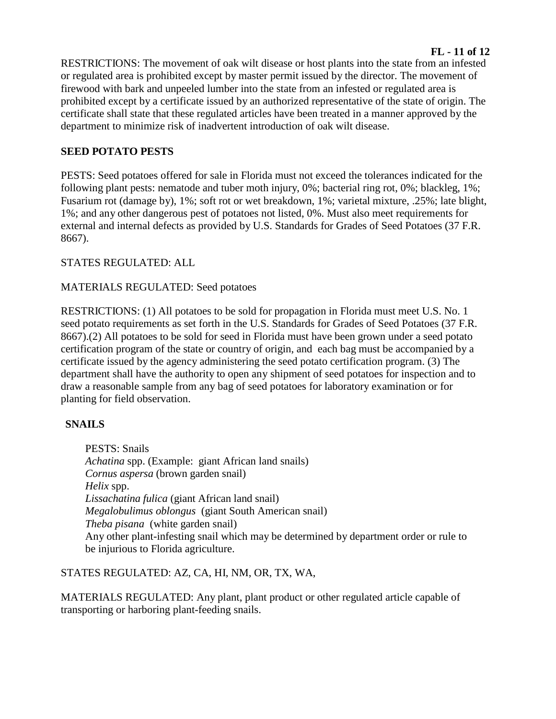RESTRICTIONS: The movement of oak wilt disease or host plants into the state from an infested or regulated area is prohibited except by master permit issued by the director. The movement of firewood with bark and unpeeled lumber into the state from an infested or regulated area is prohibited except by a certificate issued by an authorized representative of the state of origin. The certificate shall state that these regulated articles have been treated in a manner approved by the department to minimize risk of inadvertent introduction of oak wilt disease.

# **SEED POTATO PESTS**

PESTS: Seed potatoes offered for sale in Florida must not exceed the tolerances indicated for the following plant pests: nematode and tuber moth injury, 0%; bacterial ring rot, 0%; blackleg, 1%; Fusarium rot (damage by), 1%; soft rot or wet breakdown, 1%; varietal mixture, .25%; late blight, 1%; and any other dangerous pest of potatoes not listed, 0%. Must also meet requirements for external and internal defects as provided by U.S. Standards for Grades of Seed Potatoes (37 F.R. 8667).

## STATES REGULATED: ALL

## MATERIALS REGULATED: Seed potatoes

RESTRICTIONS: (1) All potatoes to be sold for propagation in Florida must meet U.S. No. 1 seed potato requirements as set forth in the U.S. Standards for Grades of Seed Potatoes (37 F.R. 8667).(2) All potatoes to be sold for seed in Florida must have been grown under a seed potato certification program of the state or country of origin, and each bag must be accompanied by a certificate issued by the agency administering the seed potato certification program. (3) The department shall have the authority to open any shipment of seed potatoes for inspection and to draw a reasonable sample from any bag of seed potatoes for laboratory examination or for planting for field observation.

## **SNAILS**

PESTS: Snails *Achatina* spp. (Example: giant African land snails) *Cornus aspersa* (brown garden snail) *Helix* spp. *Lissachatina fulica* (giant African land snail) *Megalobulimus oblongus* (giant South American snail) *Theba pisana* (white garden snail) Any other plant-infesting snail which may be determined by department order or rule to be injurious to Florida agriculture.

STATES REGULATED: AZ, CA, HI, NM, OR, TX, WA,

MATERIALS REGULATED: Any plant, plant product or other regulated article capable of transporting or harboring plant-feeding snails.